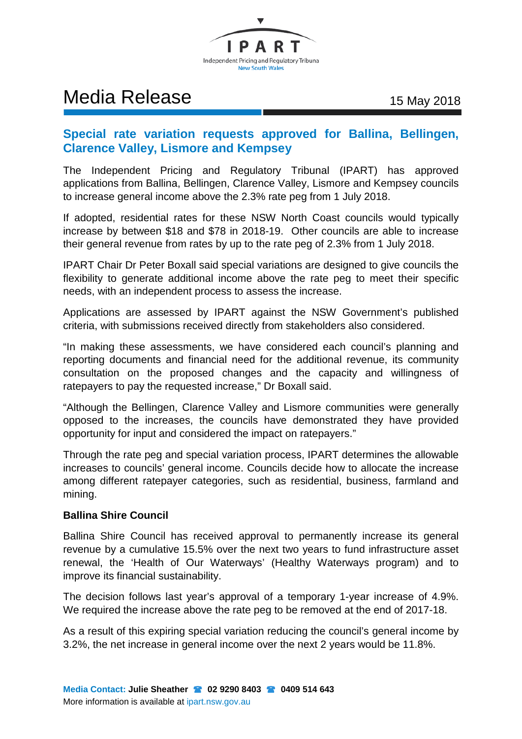

# Media Release 15 May 2018

## **Special rate variation requests approved for Ballina, Bellingen, Clarence Valley, Lismore and Kempsey**

The Independent Pricing and Regulatory Tribunal (IPART) has approved applications from Ballina, Bellingen, Clarence Valley, Lismore and Kempsey councils to increase general income above the 2.3% rate peg from 1 July 2018.

If adopted, residential rates for these NSW North Coast councils would typically increase by between \$18 and \$78 in 2018-19. Other councils are able to increase their general revenue from rates by up to the rate peg of 2.3% from 1 July 2018.

IPART Chair Dr Peter Boxall said special variations are designed to give councils the flexibility to generate additional income above the rate peg to meet their specific needs, with an independent process to assess the increase.

Applications are assessed by IPART against the NSW Government's published criteria, with submissions received directly from stakeholders also considered.

"In making these assessments, we have considered each council's planning and reporting documents and financial need for the additional revenue, its community consultation on the proposed changes and the capacity and willingness of ratepayers to pay the requested increase," Dr Boxall said.

"Although the Bellingen, Clarence Valley and Lismore communities were generally opposed to the increases, the councils have demonstrated they have provided opportunity for input and considered the impact on ratepayers."

Through the rate peg and special variation process, IPART determines the allowable increases to councils' general income. Councils decide how to allocate the increase among different ratepayer categories, such as residential, business, farmland and mining.

### **Ballina Shire Council**

Ballina Shire Council has received approval to permanently increase its general revenue by a cumulative 15.5% over the next two years to fund infrastructure asset renewal, the 'Health of Our Waterways' (Healthy Waterways program) and to improve its financial sustainability.

The decision follows last year's approval of a temporary 1-year increase of 4.9%. We required the increase above the rate peg to be removed at the end of 2017-18.

As a result of this expiring special variation reducing the council's general income by 3.2%, the net increase in general income over the next 2 years would be 11.8%.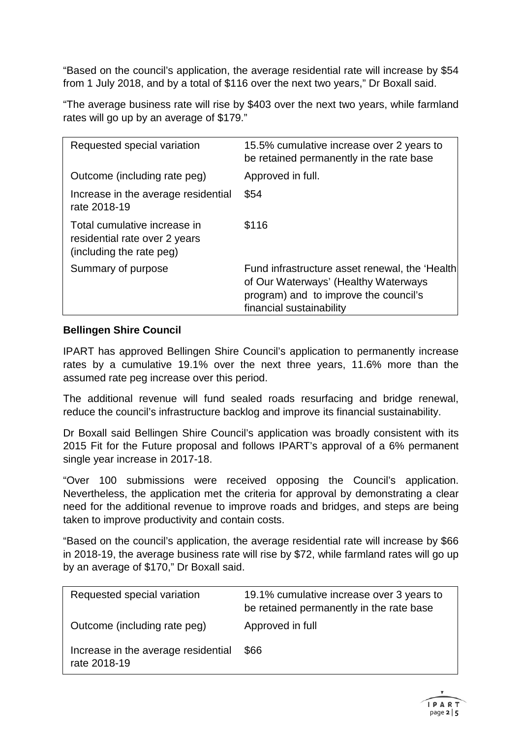"Based on the council's application, the average residential rate will increase by \$54 from 1 July 2018, and by a total of \$116 over the next two years," Dr Boxall said.

"The average business rate will rise by \$403 over the next two years, while farmland rates will go up by an average of \$179."

| Requested special variation                                                               | 15.5% cumulative increase over 2 years to<br>be retained permanently in the rate base                                                                       |
|-------------------------------------------------------------------------------------------|-------------------------------------------------------------------------------------------------------------------------------------------------------------|
| Outcome (including rate peg)                                                              | Approved in full.                                                                                                                                           |
| Increase in the average residential<br>rate 2018-19                                       | \$54                                                                                                                                                        |
| Total cumulative increase in<br>residential rate over 2 years<br>(including the rate peg) | \$116                                                                                                                                                       |
| Summary of purpose                                                                        | Fund infrastructure asset renewal, the 'Health<br>of Our Waterways' (Healthy Waterways<br>program) and to improve the council's<br>financial sustainability |

### **Bellingen Shire Council**

IPART has approved Bellingen Shire Council's application to permanently increase rates by a cumulative 19.1% over the next three years, 11.6% more than the assumed rate peg increase over this period.

The additional revenue will fund sealed roads resurfacing and bridge renewal, reduce the council's infrastructure backlog and improve its financial sustainability.

Dr Boxall said Bellingen Shire Council's application was broadly consistent with its 2015 Fit for the Future proposal and follows IPART's approval of a 6% permanent single year increase in 2017-18.

"Over 100 submissions were received opposing the Council's application. Nevertheless, the application met the criteria for approval by demonstrating a clear need for the additional revenue to improve roads and bridges, and steps are being taken to improve productivity and contain costs.

"Based on the council's application, the average residential rate will increase by \$66 in 2018-19, the average business rate will rise by \$72, while farmland rates will go up by an average of \$170," Dr Boxall said.

| Requested special variation                         | 19.1% cumulative increase over 3 years to<br>be retained permanently in the rate base |
|-----------------------------------------------------|---------------------------------------------------------------------------------------|
| Outcome (including rate peg)                        | Approved in full                                                                      |
| Increase in the average residential<br>rate 2018-19 | \$66                                                                                  |

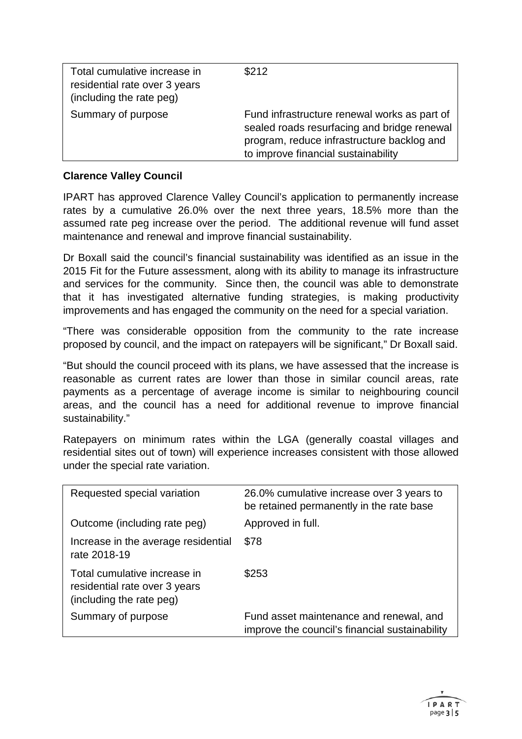| Total cumulative increase in<br>residential rate over 3 years<br>(including the rate peg) | \$212                                                                                                                                                                            |
|-------------------------------------------------------------------------------------------|----------------------------------------------------------------------------------------------------------------------------------------------------------------------------------|
| Summary of purpose                                                                        | Fund infrastructure renewal works as part of<br>sealed roads resurfacing and bridge renewal<br>program, reduce infrastructure backlog and<br>to improve financial sustainability |

### **Clarence Valley Council**

IPART has approved Clarence Valley Council's application to permanently increase rates by a cumulative 26.0% over the next three years, 18.5% more than the assumed rate peg increase over the period. The additional revenue will fund asset maintenance and renewal and improve financial sustainability.

Dr Boxall said the council's financial sustainability was identified as an issue in the 2015 Fit for the Future assessment, along with its ability to manage its infrastructure and services for the community. Since then, the council was able to demonstrate that it has investigated alternative funding strategies, is making productivity improvements and has engaged the community on the need for a special variation.

"There was considerable opposition from the community to the rate increase proposed by council, and the impact on ratepayers will be significant," Dr Boxall said.

"But should the council proceed with its plans, we have assessed that the increase is reasonable as current rates are lower than those in similar council areas, rate payments as a percentage of average income is similar to neighbouring council areas, and the council has a need for additional revenue to improve financial sustainability."

Ratepayers on minimum rates within the LGA (generally coastal villages and residential sites out of town) will experience increases consistent with those allowed under the special rate variation.

| Requested special variation                                                               | 26.0% cumulative increase over 3 years to<br>be retained permanently in the rate base     |
|-------------------------------------------------------------------------------------------|-------------------------------------------------------------------------------------------|
| Outcome (including rate peg)                                                              | Approved in full.                                                                         |
| Increase in the average residential<br>rate 2018-19                                       | \$78                                                                                      |
| Total cumulative increase in<br>residential rate over 3 years<br>(including the rate peg) | \$253                                                                                     |
| Summary of purpose                                                                        | Fund asset maintenance and renewal, and<br>improve the council's financial sustainability |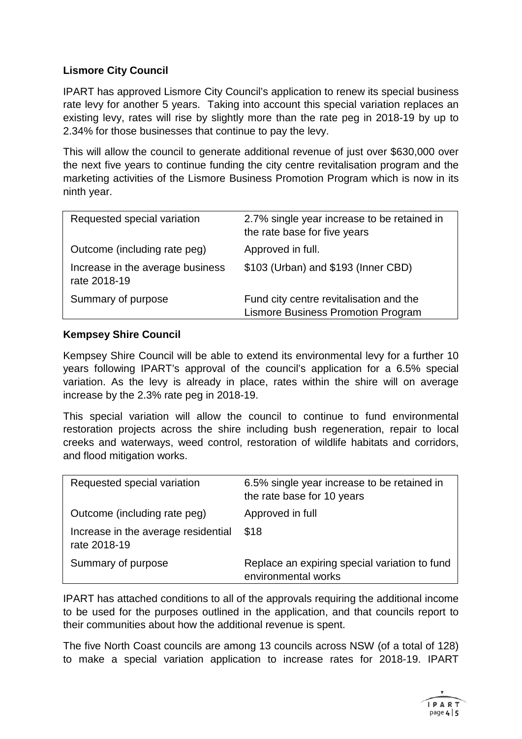### **Lismore City Council**

IPART has approved Lismore City Council's application to renew its special business rate levy for another 5 years. Taking into account this special variation replaces an existing levy, rates will rise by slightly more than the rate peg in 2018-19 by up to 2.34% for those businesses that continue to pay the levy.

This will allow the council to generate additional revenue of just over \$630,000 over the next five years to continue funding the city centre revitalisation program and the marketing activities of the Lismore Business Promotion Program which is now in its ninth year.

| Requested special variation                      | 2.7% single year increase to be retained in<br>the rate base for five years          |
|--------------------------------------------------|--------------------------------------------------------------------------------------|
| Outcome (including rate peg)                     | Approved in full.                                                                    |
| Increase in the average business<br>rate 2018-19 | \$103 (Urban) and \$193 (Inner CBD)                                                  |
| Summary of purpose                               | Fund city centre revitalisation and the<br><b>Lismore Business Promotion Program</b> |

#### **Kempsey Shire Council**

Kempsey Shire Council will be able to extend its environmental levy for a further 10 years following IPART's approval of the council's application for a 6.5% special variation. As the levy is already in place, rates within the shire will on average increase by the 2.3% rate peg in 2018-19.

This special variation will allow the council to continue to fund environmental restoration projects across the shire including bush regeneration, repair to local creeks and waterways, weed control, restoration of wildlife habitats and corridors, and flood mitigation works.

| Requested special variation                         | 6.5% single year increase to be retained in<br>the rate base for 10 years |
|-----------------------------------------------------|---------------------------------------------------------------------------|
| Outcome (including rate peg)                        | Approved in full                                                          |
| Increase in the average residential<br>rate 2018-19 | \$18                                                                      |
| Summary of purpose                                  | Replace an expiring special variation to fund<br>environmental works      |

IPART has attached conditions to all of the approvals requiring the additional income to be used for the purposes outlined in the application, and that councils report to their communities about how the additional revenue is spent.

The five North Coast councils are among 13 councils across NSW (of a total of 128) to make a special variation application to increase rates for 2018-19. IPART